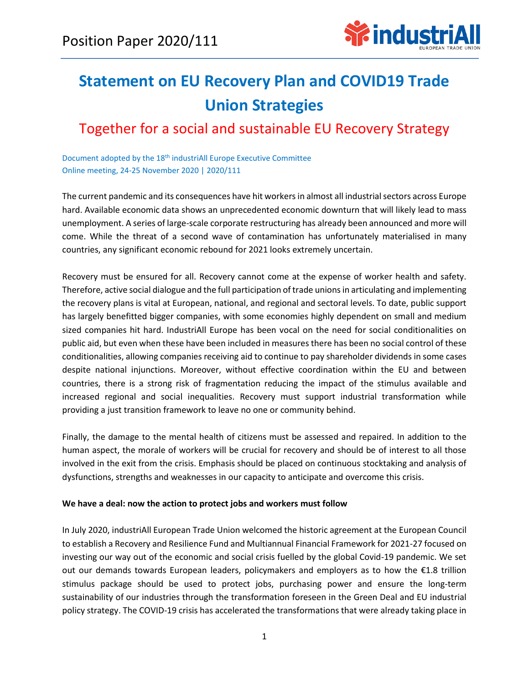

# **Statement on EU Recovery Plan and COVID19 Trade Union Strategies**

# Together for a social and sustainable EU Recovery Strategy

Document adopted by the 18<sup>th</sup> industriAll Europe Executive Committee Online meeting, 24-25 November 2020 | 2020/111

The current pandemic and its consequences have hit workers in almost all industrial sectors across Europe hard. Available economic data shows an unprecedented economic downturn that will likely lead to mass unemployment. A series of large-scale corporate restructuring has already been announced and more will come. While the threat of a second wave of contamination has unfortunately materialised in many countries, any significant economic rebound for 2021 looks extremely uncertain.

Recovery must be ensured for all. Recovery cannot come at the expense of worker health and safety. Therefore, active social dialogue and the full participation of trade unions in articulating and implementing the recovery plans is vital at European, national, and regional and sectoral levels. To date, public support has largely benefitted bigger companies, with some economies highly dependent on small and medium sized companies hit hard. IndustriAll Europe has been vocal on the need for social conditionalities on public aid, but even when these have been included in measures there has been no social control of these conditionalities, allowing companies receiving aid to continue to pay shareholder dividends in some cases despite national injunctions. Moreover, without effective coordination within the EU and between countries, there is a strong risk of fragmentation reducing the impact of the stimulus available and increased regional and social inequalities. Recovery must support industrial transformation while providing a just transition framework to leave no one or community behind.

Finally, the damage to the mental health of citizens must be assessed and repaired. In addition to the human aspect, the morale of workers will be crucial for recovery and should be of interest to all those involved in the exit from the crisis. Emphasis should be placed on continuous stocktaking and analysis of dysfunctions, strengths and weaknesses in our capacity to anticipate and overcome this crisis.

## **We have a deal: now the action to protect jobs and workers must follow**

In July 2020, industriAll European Trade Union welcomed the historic agreement at the European Council to establish a Recovery and Resilience Fund and Multiannual Financial Framework for 2021-27 focused on investing our way out of the economic and social crisis fuelled by the global Covid-19 pandemic. We set out our demands towards European leaders, policymakers and employers as to how the €1.8 trillion stimulus package should be used to protect jobs, purchasing power and ensure the long-term sustainability of our industries through the transformation foreseen in the Green Deal and EU industrial policy strategy. The COVID-19 crisis has accelerated the transformations that were already taking place in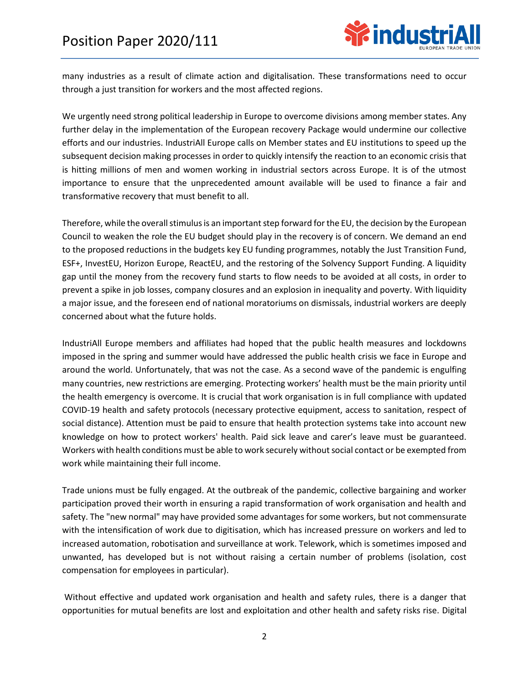

many industries as a result of climate action and digitalisation. These transformations need to occur through a just transition for workers and the most affected regions.

We urgently need strong political leadership in Europe to overcome divisions among member states. Any further delay in the implementation of the European recovery Package would undermine our collective efforts and our industries. IndustriAll Europe calls on Member states and EU institutions to speed up the subsequent decision making processes in order to quickly intensify the reaction to an economic crisis that is hitting millions of men and women working in industrial sectors across Europe. It is of the utmost importance to ensure that the unprecedented amount available will be used to finance a fair and transformative recovery that must benefit to all.

Therefore, while the overall stimulus is an important step forward for the EU, the decision by the European Council to weaken the role the EU budget should play in the recovery is of concern. We demand an end to the proposed reductions in the budgets key EU funding programmes, notably the Just Transition Fund, ESF+, InvestEU, Horizon Europe, ReactEU, and the restoring of the Solvency Support Funding. A liquidity gap until the money from the recovery fund starts to flow needs to be avoided at all costs, in order to prevent a spike in job losses, company closures and an explosion in inequality and poverty. With liquidity a major issue, and the foreseen end of national moratoriums on dismissals, industrial workers are deeply concerned about what the future holds.

IndustriAll Europe members and affiliates had hoped that the public health measures and lockdowns imposed in the spring and summer would have addressed the public health crisis we face in Europe and around the world. Unfortunately, that was not the case. As a second wave of the pandemic is engulfing many countries, new restrictions are emerging. Protecting workers' health must be the main priority until the health emergency is overcome. It is crucial that work organisation is in full compliance with updated COVID-19 health and safety protocols (necessary protective equipment, access to sanitation, respect of social distance). Attention must be paid to ensure that health protection systems take into account new knowledge on how to protect workers' health. Paid sick leave and carer's leave must be guaranteed. Workers with health conditions must be able to work securely without social contact or be exempted from work while maintaining their full income.

Trade unions must be fully engaged. At the outbreak of the pandemic, collective bargaining and worker participation proved their worth in ensuring a rapid transformation of work organisation and health and safety. The "new normal" may have provided some advantages for some workers, but not commensurate with the intensification of work due to digitisation, which has increased pressure on workers and led to increased automation, robotisation and surveillance at work. Telework, which is sometimes imposed and unwanted, has developed but is not without raising a certain number of problems (isolation, cost compensation for employees in particular).

Without effective and updated work organisation and health and safety rules, there is a danger that opportunities for mutual benefits are lost and exploitation and other health and safety risks rise. Digital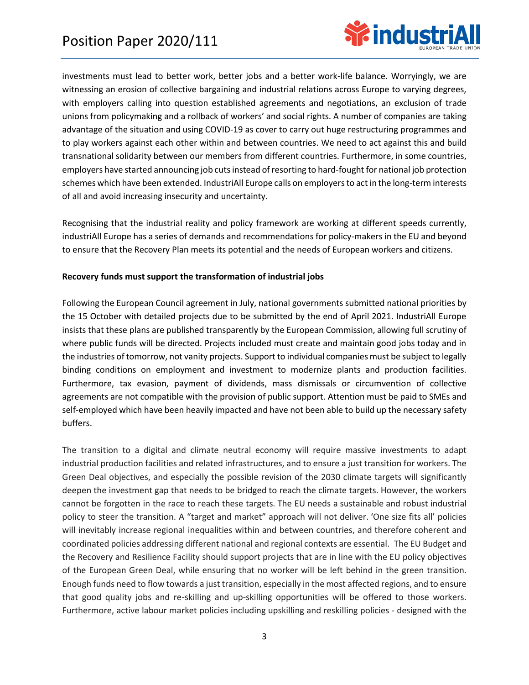

investments must lead to better work, better jobs and a better work-life balance. Worryingly, we are witnessing an erosion of collective bargaining and industrial relations across Europe to varying degrees, with employers calling into question established agreements and negotiations, an exclusion of trade unions from policymaking and a rollback of workers' and social rights. A number of companies are taking advantage of the situation and using COVID-19 as cover to carry out huge restructuring programmes and to play workers against each other within and between countries. We need to act against this and build transnational solidarity between our members from different countries. Furthermore, in some countries, employers have started announcing job cuts instead of resorting to hard-fought for national job protection schemes which have been extended. IndustriAll Europe calls on employers to act in the long-term interests of all and avoid increasing insecurity and uncertainty.

Recognising that the industrial reality and policy framework are working at different speeds currently, industriAll Europe has a series of demands and recommendations for policy-makers in the EU and beyond to ensure that the Recovery Plan meets its potential and the needs of European workers and citizens.

## **Recovery funds must support the transformation of industrial jobs**

Following the European Council agreement in July, national governments submitted national priorities by the 15 October with detailed projects due to be submitted by the end of April 2021. IndustriAll Europe insists that these plans are published transparently by the European Commission, allowing full scrutiny of where public funds will be directed. Projects included must create and maintain good jobs today and in the industries of tomorrow, not vanity projects. Support to individual companies must be subject to legally binding conditions on employment and investment to modernize plants and production facilities. Furthermore, tax evasion, payment of dividends, mass dismissals or circumvention of collective agreements are not compatible with the provision of public support. Attention must be paid to SMEs and self-employed which have been heavily impacted and have not been able to build up the necessary safety buffers.

The transition to a digital and climate neutral economy will require massive investments to adapt industrial production facilities and related infrastructures, and to ensure a just transition for workers. The Green Deal objectives, and especially the possible revision of the 2030 climate targets will significantly deepen the investment gap that needs to be bridged to reach the climate targets. However, the workers cannot be forgotten in the race to reach these targets. The EU needs a sustainable and robust industrial policy to steer the transition. A "target and market" approach will not deliver. 'One size fits all' policies will inevitably increase regional inequalities within and between countries, and therefore coherent and coordinated policies addressing different national and regional contexts are essential. The EU Budget and the Recovery and Resilience Facility should support projects that are in line with the EU policy objectives of the European Green Deal, while ensuring that no worker will be left behind in the green transition. Enough funds need to flow towards a just transition, especially in the most affected regions, and to ensure that good quality jobs and re-skilling and up-skilling opportunities will be offered to those workers. Furthermore, active labour market policies including upskilling and reskilling policies - designed with the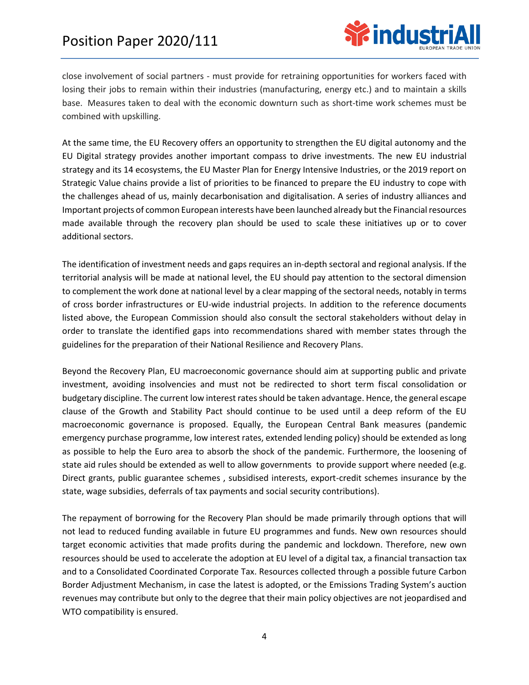

close involvement of social partners - must provide for retraining opportunities for workers faced with losing their jobs to remain within their industries (manufacturing, energy etc.) and to maintain a skills base. Measures taken to deal with the economic downturn such as short-time work schemes must be combined with upskilling.

At the same time, the EU Recovery offers an opportunity to strengthen the EU digital autonomy and the EU Digital strategy provides another important compass to drive investments. The new EU industrial strategy and its 14 ecosystems, the EU Master Plan for Energy Intensive Industries, or the 2019 report on Strategic Value chains provide a list of priorities to be financed to prepare the EU industry to cope with the challenges ahead of us, mainly decarbonisation and digitalisation. A series of industry alliances and Important projects of common European interests have been launched already but the Financial resources made available through the recovery plan should be used to scale these initiatives up or to cover additional sectors.

The identification of investment needs and gaps requires an in-depth sectoral and regional analysis. If the territorial analysis will be made at national level, the EU should pay attention to the sectoral dimension to complement the work done at national level by a clear mapping of the sectoral needs, notably in terms of cross border infrastructures or EU-wide industrial projects. In addition to the reference documents listed above, the European Commission should also consult the sectoral stakeholders without delay in order to translate the identified gaps into recommendations shared with member states through the guidelines for the preparation of their National Resilience and Recovery Plans.

Beyond the Recovery Plan, EU macroeconomic governance should aim at supporting public and private investment, avoiding insolvencies and must not be redirected to short term fiscal consolidation or budgetary discipline. The current low interest rates should be taken advantage. Hence, the general escape clause of the Growth and Stability Pact should continue to be used until a deep reform of the EU macroeconomic governance is proposed. Equally, the European Central Bank measures (pandemic emergency purchase programme, low interest rates, extended lending policy) should be extended as long as possible to help the Euro area to absorb the shock of the pandemic. Furthermore, the loosening of state aid rules should be extended as well to allow governments to provide support where needed (e.g. Direct grants, public guarantee schemes , subsidised interests, export-credit schemes insurance by the state, wage subsidies, deferrals of tax payments and social security contributions).

The repayment of borrowing for the Recovery Plan should be made primarily through options that will not lead to reduced funding available in future EU programmes and funds. New own resources should target economic activities that made profits during the pandemic and lockdown. Therefore, new own resources should be used to accelerate the adoption at EU level of a digital tax, a financial transaction tax and to a Consolidated Coordinated Corporate Tax. Resources collected through a possible future Carbon Border Adjustment Mechanism, in case the latest is adopted, or the Emissions Trading System's auction revenues may contribute but only to the degree that their main policy objectives are not jeopardised and WTO compatibility is ensured.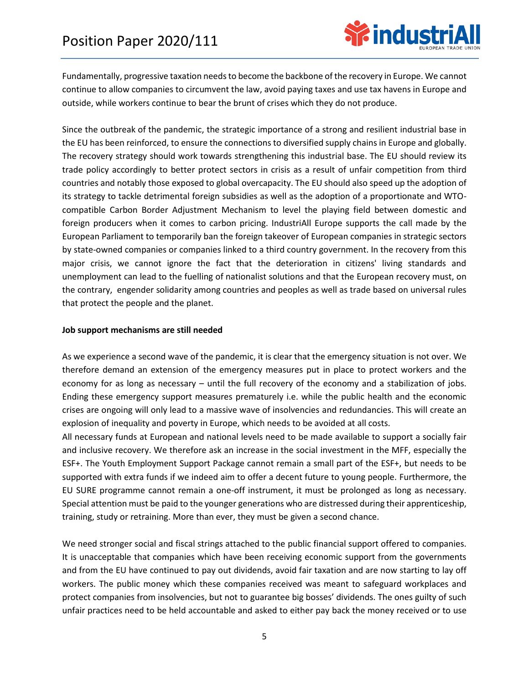

Fundamentally, progressive taxation needs to become the backbone of the recovery in Europe. We cannot continue to allow companies to circumvent the law, avoid paying taxes and use tax havens in Europe and outside, while workers continue to bear the brunt of crises which they do not produce.

Since the outbreak of the pandemic, the strategic importance of a strong and resilient industrial base in the EU has been reinforced, to ensure the connections to diversified supply chains in Europe and globally. The recovery strategy should work towards strengthening this industrial base. The EU should review its trade policy accordingly to better protect sectors in crisis as a result of unfair competition from third countries and notably those exposed to global overcapacity. The EU should also speed up the adoption of its strategy to tackle detrimental foreign subsidies as well as the adoption of a proportionate and WTOcompatible Carbon Border Adjustment Mechanism to level the playing field between domestic and foreign producers when it comes to carbon pricing. IndustriAll Europe supports the call made by the European Parliament to temporarily ban the foreign takeover of European companies in strategic sectors by state-owned companies or companies linked to a third country government. In the recovery from this major crisis, we cannot ignore the fact that the deterioration in citizens' living standards and unemployment can lead to the fuelling of nationalist solutions and that the European recovery must, on the contrary, engender solidarity among countries and peoples as well as trade based on universal rules that protect the people and the planet.

#### **Job support mechanisms are still needed**

As we experience a second wave of the pandemic, it is clear that the emergency situation is not over. We therefore demand an extension of the emergency measures put in place to protect workers and the economy for as long as necessary – until the full recovery of the economy and a stabilization of jobs. Ending these emergency support measures prematurely i.e. while the public health and the economic crises are ongoing will only lead to a massive wave of insolvencies and redundancies. This will create an explosion of inequality and poverty in Europe, which needs to be avoided at all costs.

All necessary funds at European and national levels need to be made available to support a socially fair and inclusive recovery. We therefore ask an increase in the social investment in the MFF, especially the ESF+. The Youth Employment Support Package cannot remain a small part of the ESF+, but needs to be supported with extra funds if we indeed aim to offer a decent future to young people. Furthermore, the EU SURE programme cannot remain a one-off instrument, it must be prolonged as long as necessary. Special attention must be paid to the younger generations who are distressed during their apprenticeship, training, study or retraining. More than ever, they must be given a second chance.

We need stronger social and fiscal strings attached to the public financial support offered to companies. It is unacceptable that companies which have been receiving economic support from the governments and from the EU have continued to pay out dividends, avoid fair taxation and are now starting to lay off workers. The public money which these companies received was meant to safeguard workplaces and protect companies from insolvencies, but not to guarantee big bosses' dividends. The ones guilty of such unfair practices need to be held accountable and asked to either pay back the money received or to use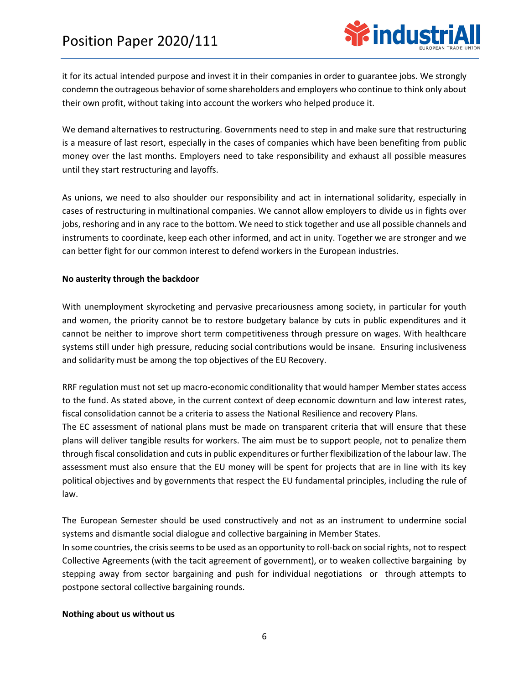

it for its actual intended purpose and invest it in their companies in order to guarantee jobs. We strongly condemn the outrageous behavior of some shareholders and employers who continue to think only about their own profit, without taking into account the workers who helped produce it.

We demand alternatives to restructuring. Governments need to step in and make sure that restructuring is a measure of last resort, especially in the cases of companies which have been benefiting from public money over the last months. Employers need to take responsibility and exhaust all possible measures until they start restructuring and layoffs.

As unions, we need to also shoulder our responsibility and act in international solidarity, especially in cases of restructuring in multinational companies. We cannot allow employers to divide us in fights over jobs, reshoring and in any race to the bottom. We need to stick together and use all possible channels and instruments to coordinate, keep each other informed, and act in unity. Together we are stronger and we can better fight for our common interest to defend workers in the European industries.

## **No austerity through the backdoor**

With unemployment skyrocketing and pervasive precariousness among society, in particular for youth and women, the priority cannot be to restore budgetary balance by cuts in public expenditures and it cannot be neither to improve short term competitiveness through pressure on wages. With healthcare systems still under high pressure, reducing social contributions would be insane. Ensuring inclusiveness and solidarity must be among the top objectives of the EU Recovery.

RRF regulation must not set up macro-economic conditionality that would hamper Member states access to the fund. As stated above, in the current context of deep economic downturn and low interest rates, fiscal consolidation cannot be a criteria to assess the National Resilience and recovery Plans.

The EC assessment of national plans must be made on transparent criteria that will ensure that these plans will deliver tangible results for workers. The aim must be to support people, not to penalize them through fiscal consolidation and cuts in public expenditures or further flexibilization of the labour law. The assessment must also ensure that the EU money will be spent for projects that are in line with its key political objectives and by governments that respect the EU fundamental principles, including the rule of law.

The European Semester should be used constructively and not as an instrument to undermine social systems and dismantle social dialogue and collective bargaining in Member States.

In some countries, the crisis seems to be used as an opportunity to roll-back on social rights, not to respect Collective Agreements (with the tacit agreement of government), or to weaken collective bargaining by stepping away from sector bargaining and push for individual negotiations or through attempts to postpone sectoral collective bargaining rounds.

#### **Nothing about us without us**